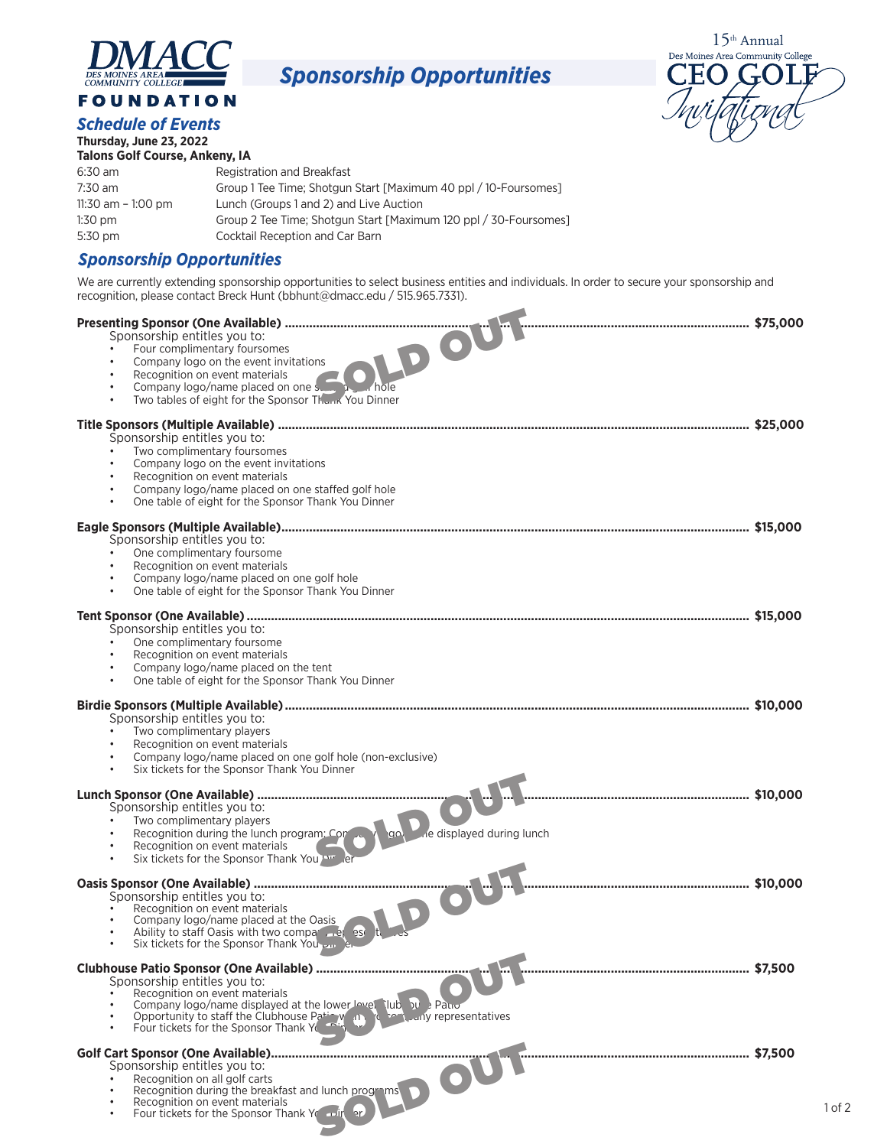

## *Sponsorship Opportunities*





| Thursday, June 23, 2022<br><b>Talons Golf Course, Ankeny, IA</b> |                                                                  |  |
|------------------------------------------------------------------|------------------------------------------------------------------|--|
|                                                                  |                                                                  |  |
| 6:30 am                                                          | Registration and Breakfast                                       |  |
| 7:30 am                                                          | Group 1 Tee Time; Shotgun Start [Maximum 40 ppl / 10-Foursomes]  |  |
| 11:30 am $-$ 1:00 pm                                             | Lunch (Groups 1 and 2) and Live Auction                          |  |
| $1:30$ pm                                                        | Group 2 Tee Time; Shotgun Start [Maximum 120 ppl / 30-Foursomes] |  |
| 5:30 pm                                                          | Cocktail Reception and Car Barn                                  |  |
|                                                                  |                                                                  |  |

## *Sponsorship Opportunities*

We are currently extending sponsorship opportunities to select business entities and individuals. In order to secure your sponsorship and recognition, please contact Breck Hunt (bbhunt@dmacc.edu / 515.965.7331).

| Recognition on event materials<br>Recognition on event materials<br>Company logo/name placed on one some placed<br>Two tables of eight for the Sponsor Thank You Dinner<br>$\bullet$<br>$\bullet$                                                                                         |  |
|-------------------------------------------------------------------------------------------------------------------------------------------------------------------------------------------------------------------------------------------------------------------------------------------|--|
| Sponsorship entitles you to:<br>Two complimentary foursomes<br>Company logo on the event invitations<br>Recognition on event materials<br>$\bullet$<br>Company logo/name placed on one staffed golf hole<br>$\bullet$<br>One table of eight for the Sponsor Thank You Dinner<br>$\bullet$ |  |
| Sponsorship entitles you to:<br>One complimentary foursome<br>Recognition on event materials<br>Company logo/name placed on one golf hole<br>One table of eight for the Sponsor Thank You Dinner<br>$\bullet$                                                                             |  |
| Sponsorship entitles you to:<br>One complimentary foursome<br>Recognition on event materials<br>Company logo/name placed on the tent<br>$\bullet$<br>One table of eight for the Sponsor Thank You Dinner<br>$\bullet$                                                                     |  |
| Sponsorship entitles you to:<br>Two complimentary players<br>Recognition on event materials<br>Company logo/name placed on one golf hole (non-exclusive)<br>$\bullet$<br>Six tickets for the Sponsor Thank You Dinner<br>$\bullet$                                                        |  |
| Sponsorship entitles you to:<br>Two complimentary players<br>Recognition during the lunch program: Concar Nancy<br>ne displayed during lunch<br>$\bullet$<br>Recognition on event materials<br>Six tickets for the Sponsor Thank You<br>$\bullet$                                         |  |
| Sponsorship entitles you to:<br>Recognition on event materials<br>Company logo/name placed at the Oasis<br>Ability to staff Oasis with two compart . Let ese<br>Six tickets for the Sponsor Thank You<br>$\bullet$                                                                        |  |
| Sponsorship entitles you to:<br>Recognition on event materials<br>Company logo/name displayed at the lower lovel lub bu Patro<br>Opportunity to staff the Clubhouse Path W (1) The Land representatives<br>Four tickets for the Sponsor Thank Y<br>$\bullet$                              |  |
| Sponsorship entitles you to:<br>Recognition on all golf carts<br>Recognition during the breakfast and lunch programs<br>Recognition on event materials<br>$\bullet$<br>Four tickets for the Sponsor Thank You and an                                                                      |  |